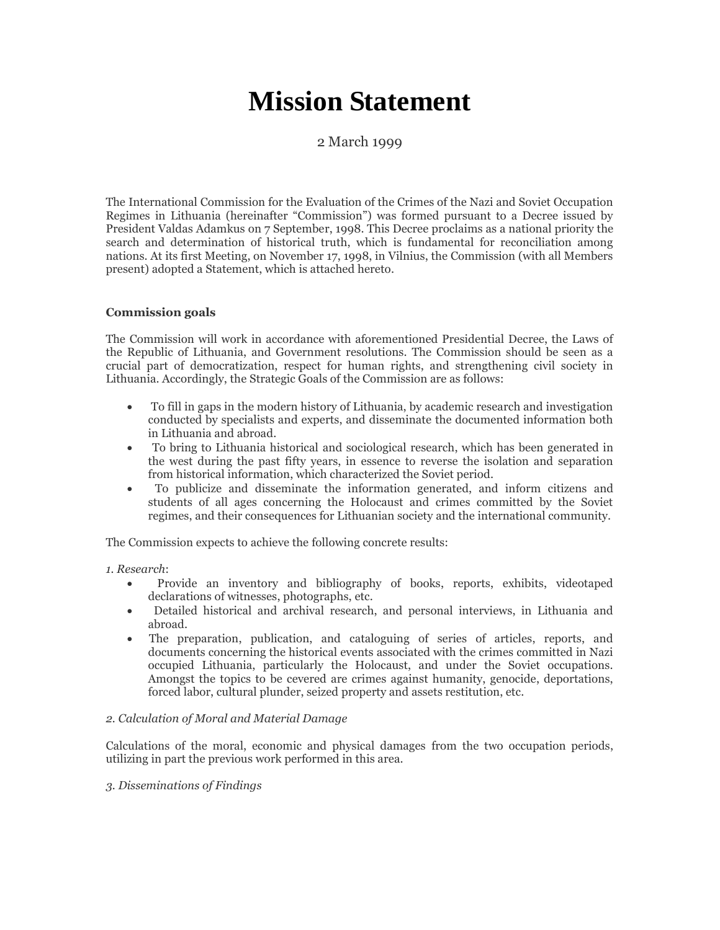# **Mission Statement**

## 2 March 1999

The International Commission for the Evaluation of the Crimes of the Nazi and Soviet Occupation Regimes in Lithuania (hereinafter "Commission") was formed pursuant to a Decree issued by President Valdas Adamkus on 7 September, 1998. This Decree proclaims as a national priority the search and determination of historical truth, which is fundamental for reconciliation among nations. At its first Meeting, on November 17, 1998, in Vilnius, the Commission (with all Members present) adopted a Statement, which is attached hereto.

### **Commission goals**

The Commission will work in accordance with aforementioned Presidential Decree, the Laws of the Republic of Lithuania, and Government resolutions. The Commission should be seen as a crucial part of democratization, respect for human rights, and strengthening civil society in Lithuania. Accordingly, the Strategic Goals of the Commission are as follows:

- To fill in gaps in the modern history of Lithuania, by academic research and investigation conducted by specialists and experts, and disseminate the documented information both in Lithuania and abroad.
- To bring to Lithuania historical and sociological research, which has been generated in the west during the past fifty years, in essence to reverse the isolation and separation from historical information, which characterized the Soviet period.
- To publicize and disseminate the information generated, and inform citizens and students of all ages concerning the Holocaust and crimes committed by the Soviet regimes, and their consequences for Lithuanian society and the international community.

The Commission expects to achieve the following concrete results:

*1. Research*:

- Provide an inventory and bibliography of books, reports, exhibits, videotaped declarations of witnesses, photographs, etc.
- Detailed historical and archival research, and personal interviews, in Lithuania and abroad.
- The preparation, publication, and cataloguing of series of articles, reports, and documents concerning the historical events associated with the crimes committed in Nazi occupied Lithuania, particularly the Holocaust, and under the Soviet occupations. Amongst the topics to be cevered are crimes against humanity, genocide, deportations, forced labor, cultural plunder, seized property and assets restitution, etc.

### *2. Calculation of Moral and Material Damage*

Calculations of the moral, economic and physical damages from the two occupation periods, utilizing in part the previous work performed in this area.

### *3. Disseminations of Findings*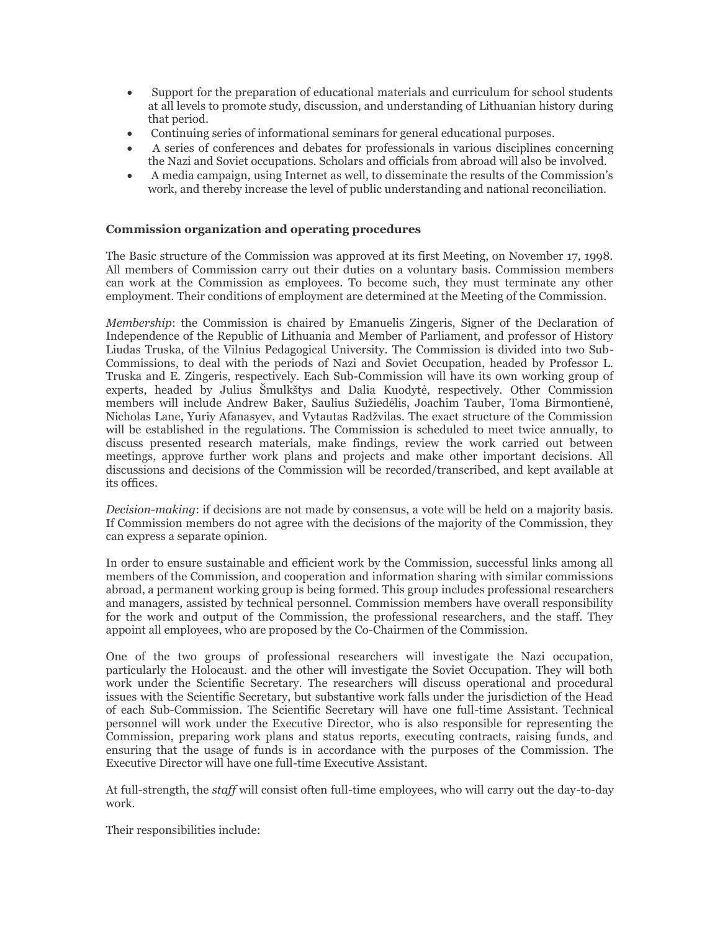- Support for the preparation of educational materials and curriculum for school students at all levels to promote study, discussion, and understanding of Lithuanian history during that period.
- Continuing series of informational seminars for general educational purposes.
- A series of conferences and debates for professionals in various disciplines concerning the Nazi and Soviet occupations. Scholars and officials from abroad will also be involved.
- A media campaign, using Internet as well, to disseminate the results of the Commission's work, and thereby increase the level of public understanding and national reconciliation.

#### **Commission organization and operating procedures**

The Basic structure of the Commission was approved at its first Meeting, on November 17, 1998. All members of Commission carry out their duties on a voluntary basis. Commission members can work at the Commission as employees. To become such, they must terminate any other employment. Their conditions of employment are determined at the Meeting of the Commission.

*Membership*: the Commission is chaired by Emanuelis Zingeris, Signer of the Declaration of Independence of the Republic of Lithuania and Member of Parliament, and professor of History Liudas Truska, of the Vilnius Pedagogical University. The Commission is divided into two Sub-Commissions, to deal with the periods of Nazi and Soviet Occupation, headed by Professor L. Truska and E. Zingeris, respectively. Each Sub-Commission will have its own working group of experts, headed by Julius Šmulkštys and Dalia Kuodytė, respectively. Other Commission members will include Andrew Baker, Saulius Sužiedėlis, Joachim Tauber, Toma Birmontienė, Nicholas Lane, Yuriy Afanasyev, and Vytautas Radžvilas. The exact structure of the Commission will be established in the regulations. The Commission is scheduled to meet twice annually, to discuss presented research materials, make findings, review the work carried out between meetings, approve further work plans and projects and make other important decisions. All discussions and decisions of the Commission will be recorded/transcribed, and kept available at its offices.

*Decision-making*: if decisions are not made by consensus, a vote will be held on a majority basis. If Commission members do not agree with the decisions of the majority of the Commission, they can express a separate opinion.

In order to ensure sustainable and efficient work by the Commission, successful links among all members of the Commission, and cooperation and information sharing with similar commissions abroad, a permanent working group is being formed. This group includes professional researchers and managers, assisted by technical personnel. Commission members have overall responsibility for the work and output of the Commission, the professional researchers, and the staff. They appoint all employees, who are proposed by the Co-Chairmen of the Commission.

One of the two groups of professional researchers will investigate the Nazi occupation, particularly the Holocaust. and the other will investigate the Soviet Occupation. They will both work under the Scientific Secretary. The researchers will discuss operational and procedural issues with the Scientific Secretary, but substantive work falls under the jurisdiction of the Head of each Sub-Commission. The Scientific Secretary will have one full-time Assistant. Technical personnel will work under the Executive Director, who is also responsible for representing the Commission, preparing work plans and status reports, executing contracts, raising funds, and ensuring that the usage of funds is in accordance with the purposes of the Commission. The Executive Director will have one full-time Executive Assistant.

At full-strength, the *staff* will consist often full-time employees, who will carry out the day-to-day work.

Their responsibilities include: